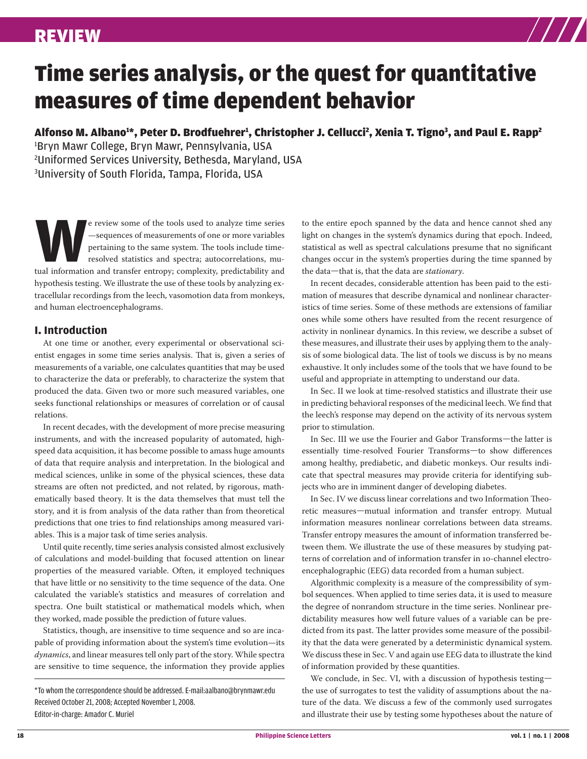

# Time series analysis, or the quest for quantitative measures of time dependent behavior

Alfonso M. Albano1\*, Peter D. Brodfuehrer1, Christopher J. Cellucci<sup>2</sup>, Xenia T. Tigno3, and Paul E. Rapp<sup>2</sup>

1 Bryn Mawr College, Bryn Mawr, Pennsylvania, USA 2 Uniformed Services University, Bethesda, Maryland, USA 3 University of South Florida, Tampa, Florida, USA

**WALK** expressed the tools used to analyze time series<br>  $\begin{array}{r}\n\text{—sequences of measurements of one or more variables}\n\text{pertaining to the same system. The tools include time-resolved statistics and spectra; autocorrelations, mutual information and transfer entropy; complexity, predictability and\n\end{array}$ —sequences of measurements of one or more variables pertaining to the same system. The tools include timeresolved statistics and spectra; autocorrelations, muhypothesis testing. We illustrate the use of these tools by analyzing extracellular recordings from the leech, vasomotion data from monkeys, and human electroencephalograms.

# **I. Introduction**

At one time or another, every experimental or observational scientist engages in some time series analysis. That is, given a series of measurements of a variable, one calculates quantities that may be used to characterize the data or preferably, to characterize the system that produced the data. Given two or more such measured variables, one seeks functional relationships or measures of correlation or of causal relations.

In recent decades, with the development of more precise measuring instruments, and with the increased popularity of automated, highspeed data acquisition, it has become possible to amass huge amounts of data that require analysis and interpretation. In the biological and medical sciences, unlike in some of the physical sciences, these data streams are often not predicted, and not related, by rigorous, mathematically based theory. It is the data themselves that must tell the story, and it is from analysis of the data rather than from theoretical predictions that one tries to find relationships among measured variables. This is a major task of time series analysis.

Until quite recently, time series analysis consisted almost exclusively of calculations and model-building that focused attention on linear properties of the measured variable. Often, it employed techniques that have little or no sensitivity to the time sequence of the data. One calculated the variable's statistics and measures of correlation and spectra. One built statistical or mathematical models which, when they worked, made possible the prediction of future values.

Statistics, though, are insensitive to time sequence and so are incapable of providing information about the system's time evolution—its *dynamics*, and linear measures tell only part of the story. While spectra are sensitive to time sequence, the information they provide applies

\*To whom the correspondence should be addressed. E-mail:aalbano@brynmawr.edu Received October 21, 2008; Accepted November 1, 2008. Editor-in-charge: Amador C. Muriel

to the entire epoch spanned by the data and hence cannot shed any light on changes in the system's dynamics during that epoch. Indeed, statistical as well as spectral calculations presume that no significant changes occur in the system's properties during the time spanned by the data—that is, that the data are *stationary*.

In recent decades, considerable attention has been paid to the estimation of measures that describe dynamical and nonlinear characteristics of time series. Some of these methods are extensions of familiar ones while some others have resulted from the recent resurgence of activity in nonlinear dynamics. In this review, we describe a subset of these measures, and illustrate their uses by applying them to the analysis of some biological data. The list of tools we discuss is by no means exhaustive. It only includes some of the tools that we have found to be useful and appropriate in attempting to understand our data.

In Sec. II we look at time-resolved statistics and illustrate their use in predicting behavioral responses of the medicinal leech. We find that the leech's response may depend on the activity of its nervous system prior to stimulation.

In Sec. III we use the Fourier and Gabor Transforms—the latter is essentially time-resolved Fourier Transforms—to show differences among healthy, prediabetic, and diabetic monkeys. Our results indicate that spectral measures may provide criteria for identifying subjects who are in imminent danger of developing diabetes.

In Sec. IV we discuss linear correlations and two Information Theoretic measures—mutual information and transfer entropy. Mutual information measures nonlinear correlations between data streams. Transfer entropy measures the amount of information transferred between them. We illustrate the use of these measures by studying patterns of correlation and of information transfer in 10-channel electroencephalographic (EEG) data recorded from a human subject.

Algorithmic complexity is a measure of the compressibility of symbol sequences. When applied to time series data, it is used to measure the degree of nonrandom structure in the time series. Nonlinear predictability measures how well future values of a variable can be predicted from its past. The latter provides some measure of the possibility that the data were generated by a deterministic dynamical system. We discuss these in Sec. V and again use EEG data to illustrate the kind of information provided by these quantities.

We conclude, in Sec. VI, with a discussion of hypothesis testing the use of surrogates to test the validity of assumptions about the nature of the data. We discuss a few of the commonly used surrogates and illustrate their use by testing some hypotheses about the nature of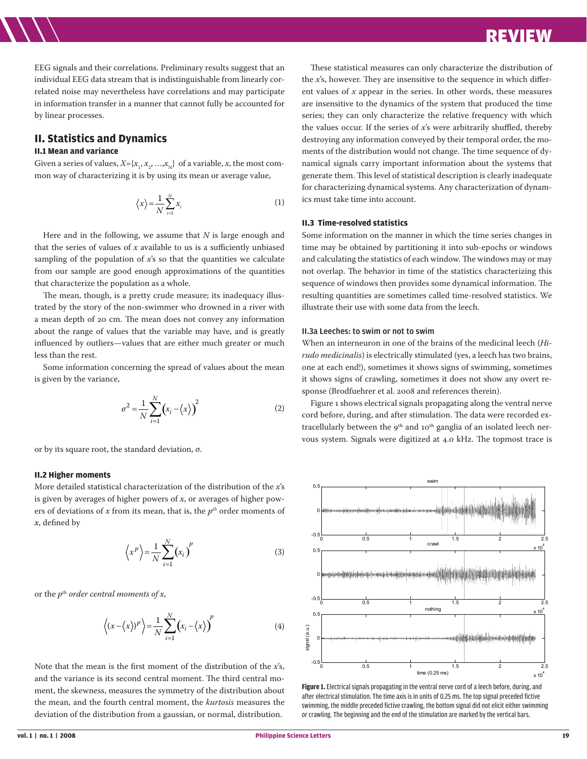EEG signals and their correlations. Preliminary results suggest that an individual EEG data stream that is indistinguishable from linearly correlated noise may nevertheless have correlations and may participate in information transfer in a manner that cannot fully be accounted for by linear processes.

# **II. Statistics and Dynamics**

#### **II.1 Mean and variance**

Given a series of values,  $X = \{x_{1}, x_{2}, ..., x_{N}\}$  of a variable, *x*, the most common way of characterizing it is by using its mean or average value,

$$
\langle x \rangle = \frac{1}{N} \sum_{i=1}^{N} x_i
$$
 (1)

Here and in the following, we assume that *N* is large enough and that the series of values of  $x$  available to us is a sufficiently unbiased sampling of the population of *x*'s so that the quantities we calculate from our sample are good enough approximations of the quantities that characterize the population as a whole.

The mean, though, is a pretty crude measure; its inadequacy illustrated by the story of the non-swimmer who drowned in a river with a mean depth of 20 cm. The mean does not convey any information about the range of values that the variable may have, and is greatly influenced by outliers—values that are either much greater or much less than the rest.

Some information concerning the spread of values about the mean is given by the variance,

$$
\sigma^2 = \frac{1}{N} \sum_{i=1}^{N} \left( x_i - \left\langle x \right\rangle \right)^2 \tag{2}
$$

or by its square root, the standard deviation, σ.

#### **II.2 Higher moments**

More detailed statistical characterization of the distribution of the *x*'s is given by averages of higher powers of *x*, or averages of higher powers of deviations of x from its mean, that is, the  $p^{th}$  order moments of *x*, defined by

$$
\left\langle x^p \right\rangle = \frac{1}{N} \sum_{i=1}^N \left( x_i \right)^p \tag{3}
$$

or the *p*th *order central moments of x*,

$$
\left\langle (x - \langle x \rangle)^p \right\rangle = \frac{1}{N} \sum_{i=1}^N \left( x_i - \langle x \rangle \right)^p \tag{4}
$$

Note that the mean is the first moment of the distribution of the *x*'s, and the variance is its second central moment. The third central moment, the skewness, measures the symmetry of the distribution about the mean, and the fourth central moment, the *kurtosis* measures the deviation of the distribution from a gaussian, or normal, distribution.

These statistical measures can only characterize the distribution of the *x*'s, however. They are insensitive to the sequence in which different values of *x* appear in the series. In other words, these measures are insensitive to the dynamics of the system that produced the time series; they can only characterize the relative frequency with which the values occur. If the series of *x*'s were arbitrarily shuffled, thereby destroying any information conveyed by their temporal order, the moments of the distribution would not change. The time sequence of dynamical signals carry important information about the systems that generate them. This level of statistical description is clearly inadequate for characterizing dynamical systems. Any characterization of dynamics must take time into account.

# **II.3 Time-resolved statistics**

Some information on the manner in which the time series changes in time may be obtained by partitioning it into sub-epochs or windows and calculating the statistics of each window. The windows may or may not overlap. The behavior in time of the statistics characterizing this sequence of windows then provides some dynamical information. The resulting quantities are sometimes called time-resolved statistics. We illustrate their use with some data from the leech.

#### II.3a Leeches: to swim or not to swim

When an interneuron in one of the brains of the medicinal leech (*Hirudo medicinalis*) is electrically stimulated (yes, a leech has two brains, one at each end!), sometimes it shows signs of swimming, sometimes it shows signs of crawling, sometimes it does not show any overt response (Brodfuehrer et al. 2008 and references therein).

Figure 1 shows electrical signals propagating along the ventral nerve cord before, during, and after stimulation. The data were recorded extracellularly between the 9<sup>th</sup> and 10<sup>th</sup> ganglia of an isolated leech nervous system. Signals were digitized at 4.0 kHz. The topmost trace is



**Figure 1.** Electrical signals propagating in the ventral nerve cord of a leech before, during, and after electrical stimulation. The time axis is in units of 0.25 ms. The top signal preceded fictive swimming, the middle preceded fictive crawling, the bottom signal did not elicit either swimming or crawling. The beginning and the end of the stimulation are marked by the vertical bars.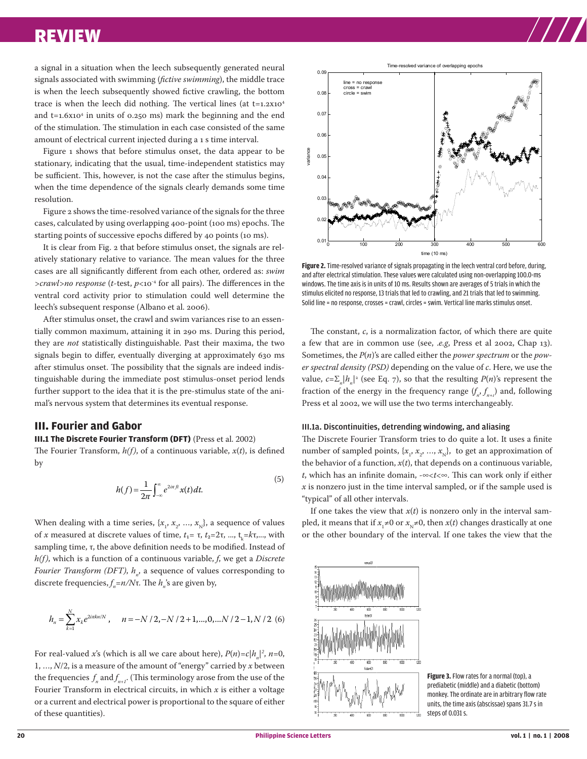a signal in a situation when the leech subsequently generated neural signals associated with swimming (*fictive swimming*), the middle trace is when the leech subsequently showed fictive crawling, the bottom trace is when the leech did nothing. The vertical lines (at  $t=1.2x10^4$ and t=1.6x104 in units of 0.250 ms) mark the beginning and the end of the stimulation. The stimulation in each case consisted of the same amount of electrical current injected during a 1 s time interval.

Figure 1 shows that before stimulus onset, the data appear to be stationary, indicating that the usual, time-independent statistics may be sufficient. This, however, is not the case after the stimulus begins, when the time dependence of the signals clearly demands some time resolution.

Figure 2 shows the time-resolved variance of the signals for the three cases, calculated by using overlapping 400-point (100 ms) epochs. The starting points of successive epochs differed by 40 points (10 ms).

It is clear from Fig. 2 that before stimulus onset, the signals are relatively stationary relative to variance. The mean values for the three cases are all significantly different from each other, ordered as: *swim >crawl>no response* (*t*-test, *p*<10-4 for all pairs). The differences in the ventral cord activity prior to stimulation could well determine the leech's subsequent response (Albano et al. 2006).

After stimulus onset, the crawl and swim variances rise to an essentially common maximum, attaining it in 290 ms. During this period, they are *not* statistically distinguishable. Past their maxima, the two signals begin to differ, eventually diverging at approximately 630 ms after stimulus onset. The possibility that the signals are indeed indistinguishable during the immediate post stimulus-onset period lends further support to the idea that it is the pre-stimulus state of the animal's nervous system that determines its eventual response.

# **III. Fourier and Gabor**

#### **III.1 The Discrete Fourier Transform (DFT)** (Press et al. 2002)

The Fourier Transform, *h(f)*, of a continuous variable, *x*(*t*), is defined by

$$
h(f) = \frac{1}{2\pi} \int_{-\infty}^{\infty} e^{2i\pi ft} x(t) dt.
$$
 (5)

When dealing with a time series,  $\{x_{1}, x_{2}, ..., x_{N}\}$ , a sequence of values of *x* measured at discrete values of time,  $t_1 = \tau$ ,  $t_2 = 2\tau$ , ...,  $t_k = k\tau$ ,..., with sampling time, τ, the above definition needs to be modified. Instead of *h(f)*, which is a function of a continuous variable, *f*, we get a *Discrete Fourier Transform (DFT), h<sub>n</sub>,* a sequence of values corresponding to discrete frequencies,  $f_n = n/N$ τ. The  $h_n$ 's are given by,

$$
h_n = \sum_{k=1}^{N} x_k e^{2i\pi k n/N}, \quad n = -N/2, -N/2+1, ..., 0, ... N/2-1, N/2.
$$
 (6)

For real-valued *x*'s (which is all we care about here),  $P(n)=c|h_n|^2$ ,  $n=0$ , 1, …, *N*/2, is a measure of the amount of "energy" carried by *x* between the frequencies  $f_n$  and  $f_{n+1}$ . (This terminology arose from the use of the Fourier Transform in electrical circuits, in which *x* is either a voltage or a current and electrical power is proportional to the square of either of these quantities).



**Figure 2.** Time-resolved variance of signals propagating in the leech ventral cord before, during, and after electrical stimulation. These values were calculated using non-overlapping 100.0-ms windows. The time axis is in units of 10 ms. Results shown are averages of 5 trials in which the stimulus elicited no response, 13 trials that led to crawling, and 21 trials that led to swimming. Solid line = no response, crosses = crawl, circles = swim. Vertical line marks stimulus onset.

The constant, *c*, is a normalization factor, of which there are quite a few that are in common use (see, .*e.g*, Press et al 2002, Chap 13). Sometimes, the *P*(*n*)'s are called either the *power spectrum* or the *power spectral density (PSD)* depending on the value of *c*. Here, we use the value,  $c = \sum_{n} |h_n|^2$  (see Eq. 7), so that the resulting  $P(n)$ 's represent the fraction of the energy in the frequency range  $(f_n, f_{n+1})$  and, following Press et al 2002, we will use the two terms interchangeably.

#### III.1a. Discontinuities, detrending windowing, and aliasing

The Discrete Fourier Transform tries to do quite a lot. It uses a finite number of sampled points,  $\{x_{1}, x_{2}, ..., x_{N}\}$ , to get an approximation of the behavior of a function,  $x(t)$ , that depends on a continuous variable, *t*, which has an infinite domain, -∞<*t*<∞. This can work only if either  $x$  is nonzero just in the time interval sampled, or if the sample used is "typical" of all other intervals.

If one takes the view that  $x(t)$  is nonzero only in the interval sampled, it means that if  $x_1 \neq 0$  or  $x_{\text{N}} \neq 0$ , then  $x(t)$  changes drastically at one or the other boundary of the interval. If one takes the view that the



**Figure 3.** Flow rates for a normal (top), a prediabetic (middle) and a diabetic (bottom) monkey. The ordinate are in arbitrary flow rate units, the time axis (abscissae) spans 31.7 s in steps of 0.031 s.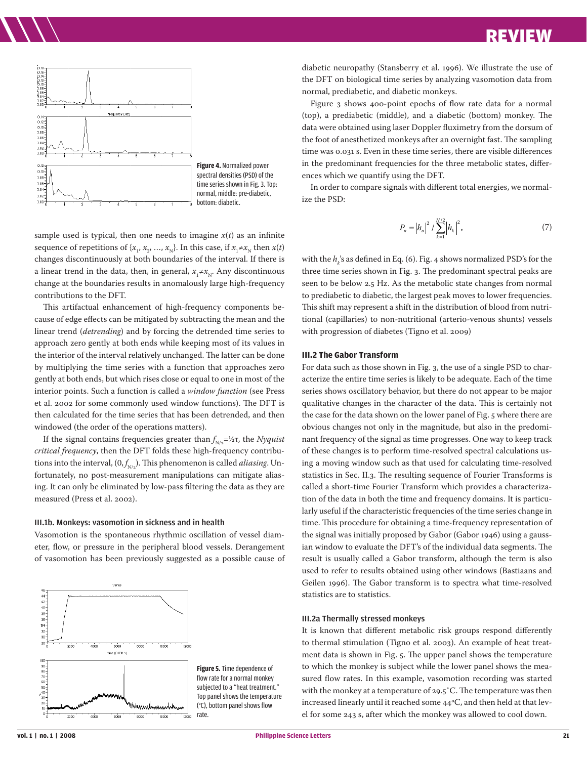

**Figure 4.** Normalized power spectral densities (PSD) of the time series shown in Fig. 3. Top: normal, middle: pre-diabetic, bottom: diabetic.

sample used is typical, then one needs to imagine  $x(t)$  as an infinite sequence of repetitions of  $\{x_1, x_2, ..., x_N\}$ . In this case, if  $x_1 \neq x_N$  then  $x(t)$ changes discontinuously at both boundaries of the interval. If there is a linear trend in the data, then, in general,  $x_{\rm l}$ ≠ $x_{\rm N}$ . Any discontinuous change at the boundaries results in anomalously large high-frequency contributions to the DFT.

This artifactual enhancement of high-frequency components because of edge effects can be mitigated by subtracting the mean and the linear trend (*detrending*) and by forcing the detrended time series to approach zero gently at both ends while keeping most of its values in the interior of the interval relatively unchanged. The latter can be done by multiplying the time series with a function that approaches zero gently at both ends, but which rises close or equal to one in most of the interior points. Such a function is called a *window function* (see Press et al. 2002 for some commonly used window functions). The DFT is then calculated for the time series that has been detrended, and then windowed (the order of the operations matters).

If the signal contains frequencies greater than  $f_{N/2}$ =½τ, the *Nyquist critical frequency*, then the DFT folds these high-frequency contributions into the interval, (0, $f^{\phantom{\dagger}}_{\textrm{\tiny{N/2}}}$ ). This phenomenon is called *aliasing*. Unfortunately, no post-measurement manipulations can mitigate aliasing. It can only be eliminated by low-pass filtering the data as they are measured (Press et al. 2002).

#### III.1b. Monkeys: vasomotion in sickness and in health

Vasomotion is the spontaneous rhythmic oscillation of vessel diameter, flow, or pressure in the peripheral blood vessels. Derangement of vasomotion has been previously suggested as a possible cause of



**Figure 5.** Time dependence of flow rate for a normal monkey subjected to a "heat treatment." Top panel shows the temperature (°C), bottom panel shows flow

diabetic neuropathy (Stansberry et al. 1996). We illustrate the use of the DFT on biological time series by analyzing vasomotion data from normal, prediabetic, and diabetic monkeys.

Figure 3 shows 400-point epochs of flow rate data for a normal (top), a prediabetic (middle), and a diabetic (bottom) monkey. The data were obtained using laser Doppler fluximetry from the dorsum of the foot of anesthetized monkeys after an overnight fast. The sampling time was 0.031 s. Even in these time series, there are visible differences in the predominant frequencies for the three metabolic states, differences which we quantify using the DFT.

In order to compare signals with different total energies, we normalize the PSD:

$$
P_n = |h_n|^2 / \sum_{k=1}^{N/2} |h_k|^2,
$$
\n(7)

with the  $h_{k}$ 's as defined in Eq. (6). Fig. 4 shows normalized PSD's for the three time series shown in Fig. 3. The predominant spectral peaks are seen to be below 2.5 Hz. As the metabolic state changes from normal to prediabetic to diabetic, the largest peak moves to lower frequencies. This shift may represent a shift in the distribution of blood from nutritional (capillaries) to non-nutritional (arterio-venous shunts) vessels with progression of diabetes (Tigno et al. 2009)

#### **III.2 The Gabor Transform**

For data such as those shown in Fig. 3, the use of a single PSD to characterize the entire time series is likely to be adequate. Each of the time series shows oscillatory behavior, but there do not appear to be major qualitative changes in the character of the data. This is certainly not the case for the data shown on the lower panel of Fig. 5 where there are obvious changes not only in the magnitude, but also in the predominant frequency of the signal as time progresses. One way to keep track of these changes is to perform time-resolved spectral calculations using a moving window such as that used for calculating time-resolved statistics in Sec. II.3. The resulting sequence of Fourier Transforms is called a short-time Fourier Transform which provides a characterization of the data in both the time and frequency domains. It is particularly useful if the characteristic frequencies of the time series change in time. This procedure for obtaining a time-frequency representation of the signal was initially proposed by Gabor (Gabor 1946) using a gaussian window to evaluate the DFT's of the individual data segments. The result is usually called a Gabor transform, although the term is also used to refer to results obtained using other windows (Bastiaans and Geilen 1996). The Gabor transform is to spectra what time-resolved statistics are to statistics.

#### III.2a Thermally stressed monkeys

It is known that different metabolic risk groups respond differently to thermal stimulation (Tigno et al. 2003). An example of heat treatment data is shown in Fig. 5. The upper panel shows the temperature to which the monkey is subject while the lower panel shows the measured flow rates. In this example, vasomotion recording was started with the monkey at a temperature of 29.5˚C. The temperature was then increased linearly until it reached some  $44^{\circ}$ C, and then held at that level for some 243 s, after which the monkey was allowed to cool down.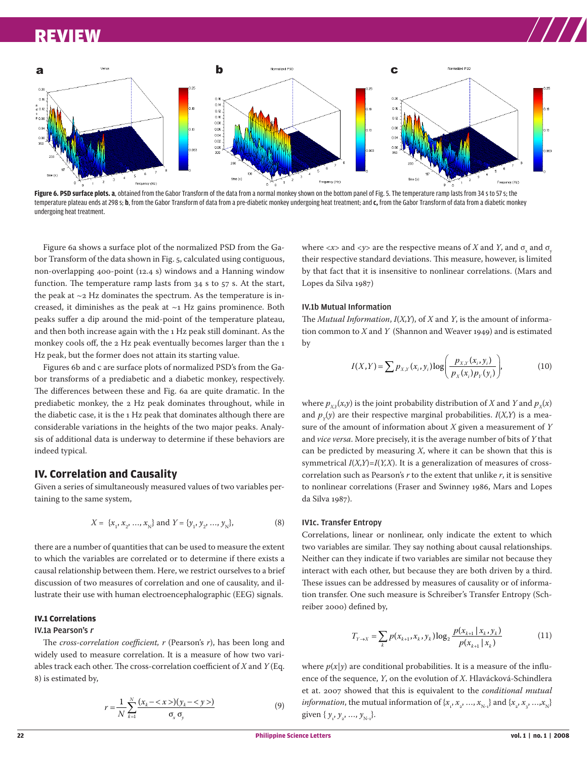

Figure 6. PSD surface plots. a, obtained from the Gabor Transform of the data from a normal monkey shown on the bottom panel of Fig. 5. The temperature ramp lasts from 34 s to 57 s; the temperature plateau ends at 298 s; **b**, from the Gabor Transform of data from a pre-diabetic monkey undergoing heat treatment; and **c,** from the Gabor Transform of data from a diabetic monkey undergoing heat treatment.

Figure 6a shows a surface plot of the normalized PSD from the Gabor Transform of the data shown in Fig. 5, calculated using contiguous, non-overlapping 400-point (12.4 s) windows and a Hanning window function. The temperature ramp lasts from 34 s to 57 s. At the start, the peak at  $\sim$ 2 Hz dominates the spectrum. As the temperature is increased, it diminishes as the peak at  $\sim$ 1 Hz gains prominence. Both peaks suffer a dip around the mid-point of the temperature plateau, and then both increase again with the 1 Hz peak still dominant. As the monkey cools off, the 2 Hz peak eventually becomes larger than the 1 Hz peak, but the former does not attain its starting value.

Figures 6b and c are surface plots of normalized PSD's from the Gabor transforms of a prediabetic and a diabetic monkey, respectively. The differences between these and Fig. 6a are quite dramatic. In the prediabetic monkey, the 2 Hz peak dominates throughout, while in the diabetic case, it is the 1 Hz peak that dominates although there are considerable variations in the heights of the two major peaks. Analysis of additional data is underway to determine if these behaviors are indeed typical.

# **IV. Correlation and Causality**

Given a series of simultaneously measured values of two variables pertaining to the same system,

$$
X = \{x_1, x_2, ..., x_N\} \text{ and } Y = \{y_1, y_2, ..., y_N\},
$$
 (8)

there are a number of quantities that can be used to measure the extent to which the variables are correlated or to determine if there exists a causal relationship between them. Here, we restrict ourselves to a brief discussion of two measures of correlation and one of causality, and illustrate their use with human electroencephalographic (EEG) signals.

# **IV.1 Correlations**

#### IV.1a Pearson's <sup>r</sup>

The *cross-correlation coefficient, r* (Pearson's *r*), has been long and widely used to measure correlation. It is a measure of how two variables track each other. The cross-correlation coefficient of *X* and *Y* (Eq. 8) is estimated by,

$$
r = \frac{1}{N} \sum_{k=1}^{N} \frac{(x_k - \langle x \rangle)(y_k - \langle y \rangle)}{\sigma_x \sigma_y}
$$
(9)

where  $<\!\!x\!\!>$  and  $<\!\!y\!\!>$  are the respective means of  $X$  and  $Y$ , and  $\sigma_{_{\!X}}$  and  $\sigma_{_{\!Y}}$ their respective standard deviations. This measure, however, is limited by that fact that it is insensitive to nonlinear correlations. (Mars and Lopes da Silva 1987)

#### IV.1b Mutual Information

The *Mutual Information*, *I*(*X,Y*), of *X* and *Y*, is the amount of information common to *X* and *Y* (Shannon and Weaver 1949) and is estimated by

$$
I(X,Y) = \sum p_{X,Y}(x_i, y_i) \log \left( \frac{p_{X,Y}(x_i, y_i)}{p_X(x_i) p_Y(y_i)} \right),
$$
 (10)

where  $p_{XY}(x,y)$  is the joint probability distribution of *X* and *Y* and  $p_X(x)$ and  $p_y(y)$  are their respective marginal probabilities.  $I(X, Y)$  is a measure of the amount of information about *X* given a measurement of *Y* and *vice versa*. More precisely, it is the average number of bits of *Y* that can be predicted by measuring *X*, where it can be shown that this is symmetrical  $I(X,Y)=I(Y,X)$ . It is a generalization of measures of crosscorrelation such as Pearson's *r* to the extent that unlike *r*, it is sensitive to nonlinear correlations (Fraser and Swinney 1986, Mars and Lopes da Silva 1987).

#### IV1c. Transfer Entropy

Correlations, linear or nonlinear, only indicate the extent to which two variables are similar. They say nothing about causal relationships. Neither can they indicate if two variables are similar not because they interact with each other, but because they are both driven by a third. These issues can be addressed by measures of causality or of information transfer. One such measure is Schreiber's Transfer Entropy (Schreiber 2000) defined by,

$$
T_{Y \to X} = \sum_{k} p(x_{k+1}, x_k, y_k) \log_2 \frac{p(x_{k+1} | x_k, y_k)}{p(x_{k+1} | x_k)}
$$
(11)

where  $p(x|y)$  are conditional probabilities. It is a measure of the influence of the sequence, *Y*, on the evolution of *X*. Hlavácková-Schindlera et at. 2007 showed that this is equivalent to the *conditional mutual information*, the mutual information of  $\{x_{_1}, x_{_2}, ..., x_{_{N-1}}\}$  and  $\{x_{_2}, x_{_3}, ..., x_{_N}\}$ given  $\{y_1, y_2, ..., y_{N-1}\}.$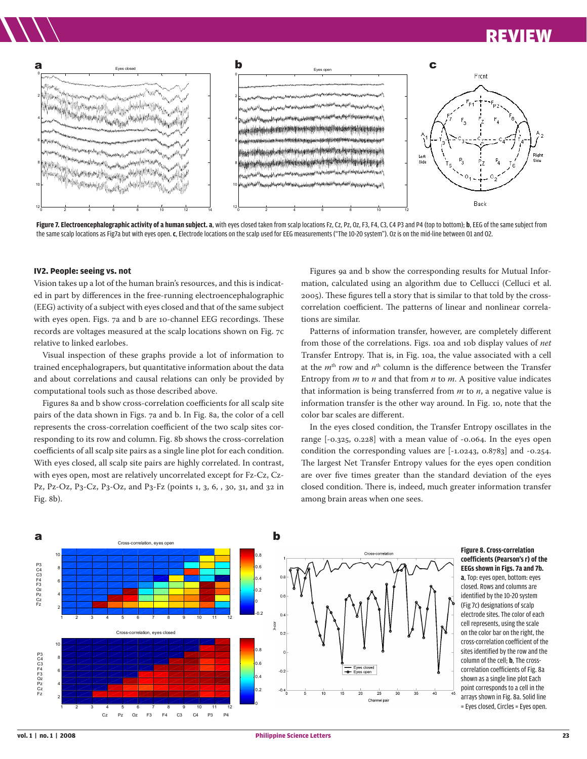

**Figure 7. Electroencephalographic activity of a human subject. a**, with eyes closed taken from scalp locations Fz, Cz, Pz, Oz, F3, F4, C3, C4 P3 and P4 (top to bottom); **b**, EEG of the same subject from the same scalp locations as Fig7a but with eyes open. **c**, Electrode locations on the scalp used for EEG measurements ("The 10-20 system"). Oz is on the mid-line between O1 and O2.

#### **IV2. People: seeing vs. not**

Vision takes up a lot of the human brain's resources, and this is indicated in part by differences in the free-running electroencephalographic (EEG) activity of a subject with eyes closed and that of the same subject with eyes open. Figs. 7a and b are 10-channel EEG recordings. These records are voltages measured at the scalp locations shown on Fig. 7c relative to linked earlobes.

Visual inspection of these graphs provide a lot of information to trained encephalograpers, but quantitative information about the data and about correlations and causal relations can only be provided by computational tools such as those described above.

Figures 8a and b show cross-correlation coefficients for all scalp site pairs of the data shown in Figs. 7a and b. In Fig. 8a, the color of a cell represents the cross-correlation coefficient of the two scalp sites corresponding to its row and column. Fig. 8b shows the cross-correlation coefficients of all scalp site pairs as a single line plot for each condition. With eyes closed, all scalp site pairs are highly correlated. In contrast, with eyes open, most are relatively uncorrelated except for Fz-Cz, Cz-Pz, Pz-Oz, P3-Cz, P3-Oz, and P3-Fz (points 1, 3, 6, , 30, 31, and 32 in Fig. 8b).

Figures 9a and b show the corresponding results for Mutual Information, calculated using an algorithm due to Cellucci (Celluci et al. 2005). These figures tell a story that is similar to that told by the crosscorrelation coefficient. The patterns of linear and nonlinear correlations are similar.

Patterns of information transfer, however, are completely different from those of the correlations. Figs. 10a and 10b display values of *net* Transfer Entropy. That is, in Fig. 10a, the value associated with a cell at the  $m<sup>th</sup>$  row and  $n<sup>th</sup>$  column is the difference between the Transfer Entropy from *m* to *n* and that from *n* to *m*. A positive value indicates that information is being transferred from *m* to *n*, a negative value is information transfer is the other way around. In Fig. 10, note that the color bar scales are different.

In the eyes closed condition, the Transfer Entropy oscillates in the range [-0.325, 0.228] with a mean value of -0.064. In the eyes open condition the corresponding values are [-1.0243, 0.8783] and -0.254. The largest Net Transfer Entropy values for the eyes open condition are over five times greater than the standard deviation of the eyes closed condition. There is, indeed, much greater information transfer among brain areas when one sees.



#### **Figure 8. Cross-correlation coefficients (Pearson's r) of the EEGs shown in Figs. 7a and 7b. a**, Top: eyes open, bottom: eyes closed. Rows and columns are identified by the 10-20 system (Fig 7c) designations of scalp electrode sites. The color of each cell represents, using the scale on the color bar on the right, the cross-correlation coefficient of the sites identified by the row and the column of the cell; **b**, The crosscorrelation coefficients of Fig. 8a shown as a single line plot Each point corresponds to a cell in the arrays shown in Fig. 8a. Solid line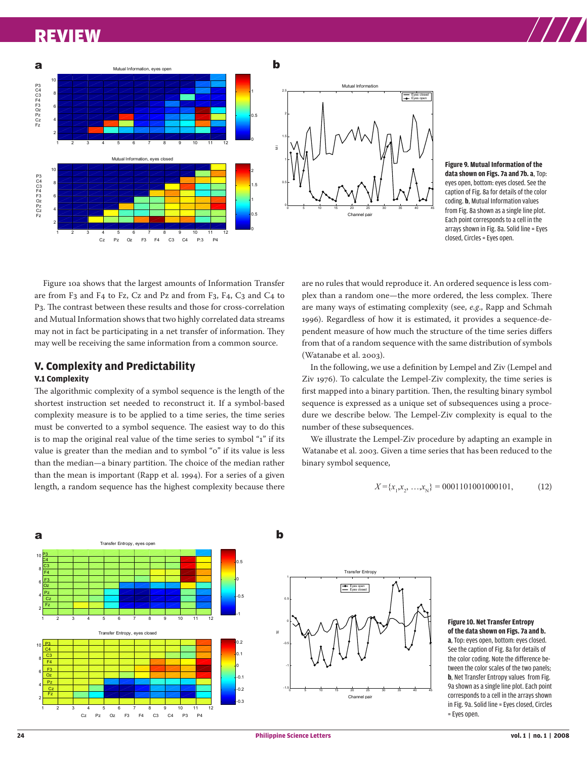

**Figure 9. Mutual Information of the data shown on Figs. 7a and 7b. a**, Top: eyes open, bottom: eyes closed. See the caption of Fig. 8a for details of the color coding. **b**, Mutual Information values from Fig. 8a shown as a single line plot. Each point corresponds to a cell in the arrays shown in Fig. 8a. Solid line = Eyes closed, Circles = Eyes open.

Figure 10a shows that the largest amounts of Information Transfer are from F3 and F4 to Fz, Cz and Pz and from F3, F4, C3 and C4 to P3. The contrast between these results and those for cross-correlation and Mutual Information shows that two highly correlated data streams may not in fact be participating in a net transfer of information. They may well be receiving the same information from a common source.

# **V. Complexity and Predictability**

# **V.1 Complexity**

The algorithmic complexity of a symbol sequence is the length of the shortest instruction set needed to reconstruct it. If a symbol-based complexity measure is to be applied to a time series, the time series must be converted to a symbol sequence. The easiest way to do this is to map the original real value of the time series to symbol "1" if its value is greater than the median and to symbol "0" if its value is less than the median—a binary partition. The choice of the median rather than the mean is important (Rapp et al. 1994). For a series of a given length, a random sequence has the highest complexity because there

are no rules that would reproduce it. An ordered sequence is less complex than a random one—the more ordered, the less complex. There are many ways of estimating complexity (see, *e.g*., Rapp and Schmah 1996). Regardless of how it is estimated, it provides a sequence-dependent measure of how much the structure of the time series differs from that of a random sequence with the same distribution of symbols (Watanabe et al. 2003).

In the following, we use a definition by Lempel and Ziv (Lempel and Ziv 1976). To calculate the Lempel-Ziv complexity, the time series is first mapped into a binary partition. Then, the resulting binary symbol sequence is expressed as a unique set of subsequences using a procedure we describe below. The Lempel-Ziv complexity is equal to the number of these subsequences.

We illustrate the Lempel-Ziv procedure by adapting an example in Watanabe et al. 2003. Given a time series that has been reduced to the binary symbol sequence,

$$
X = \{x_1, x_2, \dots, x_N\} = 0001101001000101, \tag{12}
$$



#### **Figure 10. Net Transfer Entropy of the data shown on Figs. 7a and b. a**, Top: eyes open, bottom: eyes closed. See the caption of Fig. 8a for details of the color coding. Note the difference between the color scales of the two panels; **b**, Net Transfer Entropy values from Fig. 9a shown as a single line plot. Each point corresponds to a cell in the arrays shown in Fig. 9a. Solid line = Eyes closed, Circles = Eyes open.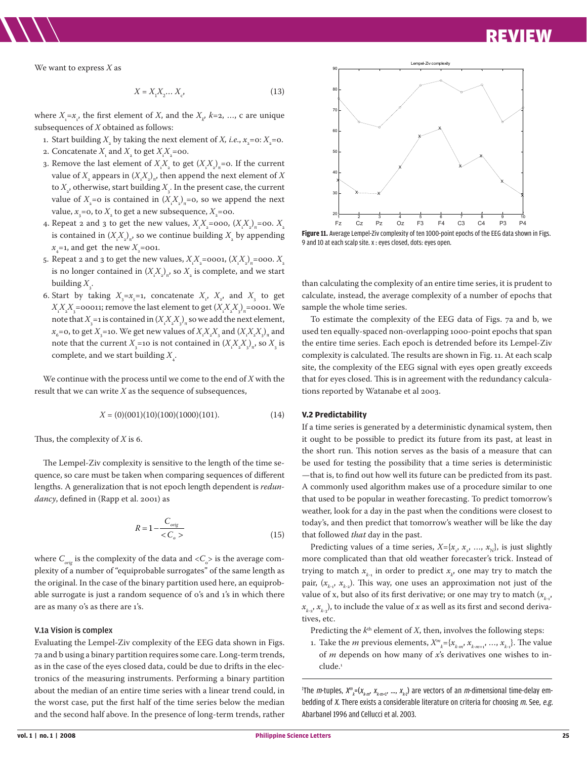We want to express *X* as

$$
X = X_1 X_2 \dots X_c,
$$
 (13)

where  $X_i = x_i$ , the first element of *X*, and the  $X_{\mathcal{X}}$  *k*=2, ..., c are unique subsequences of *X* obtained as follows:

- 1. Start building  $X_{2}$  by taking the next element of *X, i.e., x*<sub>2</sub>=0:  $X_{2}$ =0.
- 2. Concatenate  $X_{\text{1}}$  and  $X_{\text{2}}$  to get  $X_{\text{1}}X_{\text{2}}$ =00.
- 3. Remove the last element of  $X_1 X_2$  to get  $(X_1 X_2)_\pi$ =0. If the current value of  $X_{_2}$  appears in  $(X_{\!_1}^{} \! X_{_2}^{})_{\pi'}$  then append the next element of  $X$ to  $X_{\scriptscriptstyle 2}$ , otherwise, start building  $X_{\scriptscriptstyle 3}$ . In the present case, the current value of  $X_2$ =0 is contained in  $(X_1X_2)_n$ =0, so we append the next value,  $x_{\scriptscriptstyle 3}^{}$ =0, to  $X_{\scriptscriptstyle 2}$  to get a new subsequence,  $X_{\scriptscriptstyle 2}^{}$ =00.
- 4. Repeat 2 and 3 to get the new values,  $X_1 X_2 =$  000,  $(X_1 X_2)_\pi =$  00.  $X_2$ is contained in  $(X_i X_{_2})_{\pi}$ , so we continue building  $X_{_2}$  by appending  $x_{\scriptscriptstyle 4}^{}$ =1, and get the new  $X_{\scriptscriptstyle 2}^{}$ =001.
- 5. Repeat 2 and 3 to get the new values,  $X_i X_z =$  0001,  $(X_i X_j)_\pi =$  000.  $X_i$ is no longer contained in  $(X_1X_2)_n$ , so  $X_2$  is complete, and we start building  $X_{\!\scriptscriptstyle 3}^{\vphantom{\dagger}}$ .
- 6. Start by taking  $X_{3} = x_{5} = 1$ , concatenate  $X_{1}$ ,  $X_{2}$ , and  $X_{3}$  to get  $X_i X_j X_3 =$ ooo11; remove the last element to get  $(X_i X_j X_3)_\pi$ =0001. We note that  $X_{3}$  =1 is contained in  $(X_{1}^{X}X_{2}^{X})_{\pi}$  so we add the next element,  $x_6$ =0, to get  $X_3$ =10. We get new values of  $X_1 X_2 X_3$  and  $(X_1 X_2 X_3)_{\pi}$  and note that the current  $X_{3}$ =10 is not contained in  $(X_{i}^{X}X_{i}^{X})_{\pi}$ , so  $X_{3}$  is complete, and we start building  $X_{\overline{4}}$ .

We continue with the process until we come to the end of *X* with the result that we can write *X* as the sequence of subsequences,

$$
X = (0)(001)(10)(100)(1000)(101). \tag{14}
$$

Thus, the complexity of *X* is 6.

The Lempel-Ziv complexity is sensitive to the length of the time sequence, so care must be taken when comparing sequences of different lengths. A generalization that is not epoch length dependent is *redundancy*, defined in (Rapp et al. 2001) as

$$
R = 1 - \frac{C_{\text{orig}}}{\langle C_o \rangle} \tag{15}
$$

where  $C_{_{orig}}$  is the complexity of the data and  $\rm <\! C_{_{o}}\!\!>$  is the average complexity of a number of "equiprobable surrogates" of the same length as the original. In the case of the binary partition used here, an equiprobable surrogate is just a random sequence of 0's and 1's in which there are as many 0's as there are 1's.

#### V.1a Vision is complex

Evaluating the Lempel-Ziv complexity of the EEG data shown in Figs. 7a and b using a binary partition requires some care. Long-term trends, as in the case of the eyes closed data, could be due to drifts in the electronics of the measuring instruments. Performing a binary partition about the median of an entire time series with a linear trend could, in the worst case, put the first half of the time series below the median and the second half above. In the presence of long-term trends, rather



**Figure 11.** Average Lempel-Ziv complexity of ten 1000-point epochs of the EEG data shown in Figs.<br>Cand 10 st seek seek aiks we awas alsoed data awas announced the EEG data shown in Figs. 9 and 10 at each scalp site. x : eyes closed, dots: eyes open.

than calculating the complexity of an entire time series, it is prudent to calculate, instead, the average complexity of a number of epochs that sample the whole time series.

To estimate the complexity of the EEG data of Figs. 7a and b, we used ten equally-spaced non-overlapping 1000-point epochs that span the entire time series. Each epoch is detrended before its Lempel-Ziv complexity is calculated. The results are shown in Fig. 11. At each scalp site, the complexity of the EEG signal with eyes open greatly exceeds that for eyes closed. This is in agreement with the redundancy calculations reported by Watanabe et al 2003.

#### **V.2 Predictability**

If a time series is generated by a deterministic dynamical system, then it ought to be possible to predict its future from its past, at least in the short run. This notion serves as the basis of a measure that can be used for testing the possibility that a time series is deterministic —that is, to find out how well its future can be predicted from its past. A commonly used algorithm makes use of a procedure similar to one that used to be popular in weather forecasting. To predict tomorrow's weather, look for a day in the past when the conditions were closest to today's, and then predict that tomorrow's weather will be like the day that followed *that* day in the past.

Predicting values of a time series,  $X = \{x_{1}, x_{2}, ..., x_{N}\}$ , is just slightly more complicated than that old weather forecaster's trick. Instead of trying to match  $x_{k-1}$  in order to predict  $x_{k}$ , one may try to match the pair,  $(x_{k-1}, x_{k-2})$ . This way, one uses an approximation not just of the value of x, but also of its first derivative; or one may try to match  $(x_{k-1}, y_k)$  $x_{k-2}, x_{k-3}$ , to include the value of *x* as well as its first and second derivatives, etc.

Predicting the  $k<sup>th</sup>$  element of *X*, then, involves the following steps:

1. Take the *m* previous elements,  $X^m_{\ \ k} = \{x_{k-m}, x_{k-m+1}, ..., x_{k-1}\}$ . The value of *m* depends on how many of *x*'s derivatives one wishes to include.<sup>1</sup>

<sup>1</sup>The *m*-tuples,  $X^m_{\ \ k}$ =( $x_{_{k\cdot m\cdot k'}}$   $x_{_{k\cdot m\cdot l'}}$  ,  $x_{_{k\cdot 1}}$ ) are vectors of an *m*-dimensional time-delay embedding of X. There exists a considerable literature on criteria for choosing m. See, e.g. Abarbanel 1996 and Cellucci et al. 2003.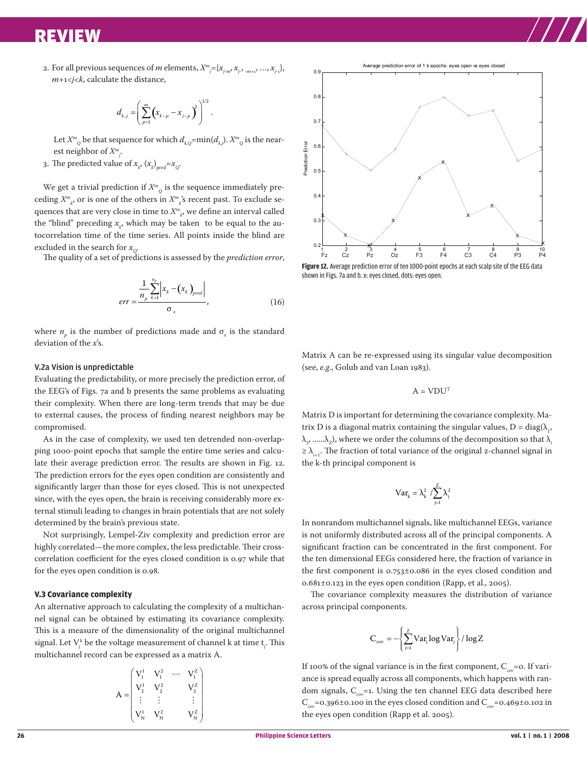2. For all previous sequences of *m* elements,  $X^m_{\phantom{m}j}$  ={ $x_{j,m}$ ,  $x_{j}$ ,  $_{m+1}$ , …,  $x_{j-1}$ }, *m*+1<*j*<*k*, calculate the distance,

$$
d_{k,j} = \left(\sum_{p=1}^m (x_{k-p} - x_{j-p})^2\right)^{1/2}.
$$

Let  $X^m_{\;\;\;Q}$  be that sequence for which  $d_{k,Q}^{}{=}\mathrm{min}(d_{k,j}^{})$ .  $X^m_{\;\;\;Q}$  is the nearest neighbor of *Xm j* .

3. The predicted value of  $x_{k'}$   $(x_{k})_{\text{pred}} = x_{Q}$ .

We get a trivial prediction if  $X_{-\frac{1}{2}}^m$  is the sequence immediately preceding  $X^m_{\phantom{m}k'}$  or is one of the others in  $X^m_{\phantom{m}k}$ 's recent past. To exclude sequences that are very close in time to  $X_{\ \ \ \ k}^{m}$ , we define an interval called the "blind" preceding  $x_{k'}$  which may be taken  $\,$  to be equal to the autocorrelation time of the time series. All points inside the blind are excluded in the search for  $x_{\text{Q}}$ .

The quality of a set of predictions is assessed by the *prediction error*,

$$
err = \frac{\frac{1}{n_p} \sum_{k=1}^{n_p} \left| x_k - \left( x_k \right)_{pred} \right|}{\sigma_x}, \tag{16}
$$

where  $n_p$  is the number of predictions made and  $\sigma_x$  is the standard deviation of the *x*'s.

#### V.2a Vision is unpredictable

Evaluating the predictability, or more precisely the prediction error, of the EEG's of Figs. 7a and b presents the same problems as evaluating their complexity. When there are long-term trends that may be due to external causes, the process of finding nearest neighbors may be compromised.

As in the case of complexity, we used ten detrended non-overlapping 1000-point epochs that sample the entire time series and calculate their average prediction error. The results are shown in Fig. 12. The prediction errors for the eyes open condition are consistently and significantly larger than those for eyes closed. This is not unexpected since, with the eyes open, the brain is receiving considerably more external stimuli leading to changes in brain potentials that are not solely determined by the brain's previous state.

NOt surprisingly, Lempel-Ziv complexity and prediction error are highly correlated—the more complex, the less predictable. Their crosscorrelation coefficient for the eyes closed condition is 0.97 while that for the eyes open condition is 0.98.

#### **V.3 Covariance complexity**

An alternative approach to calculating the complexity of a multichannel signal can be obtained by estimating its covariance complexity. This is a measure of the dimensionality of the original multichannel signal. Let  $\mathrm{V}_{\mathfrak{j}}^{\mathfrak{k}}$  be the voltage measurement of channel k at time  $\bm{{\mathsf{t}}}_{\mathfrak{j}}.$  This multichannel record can be expressed as a matrix A.

$$
A = \begin{pmatrix} V_1^1 & V_1^2 & \cdots & V_1^Z \\ V_2^1 & V_2^2 & & V_2^Z \\ \vdots & \vdots & & \vdots \\ V_N^1 & V_N^2 & & V_N^Z \end{pmatrix}
$$



**Figure 12.** Average prediction error of ten 1000-point epochs at each scalp site of the EEG data shown in Figs. 7a and b. x: eyes closed, dots: eyes open.

Matrix A can be re-expressed using its singular value decomposition (see, *e.g*., Golub and van Loan 1983).

$$
\mathbf{A} = \mathbf{V} \mathbf{D} \mathbf{U}^{\text{T}}
$$

Matrix D is important for determining the covariance complexity. Matrix D is a diagonal matrix containing the singular values,  $D = diag(\lambda_1, \lambda_2)$  $(\lambda_{2},.....\lambda_{2})$ , where we order the columns of the decomposition so that  $\lambda_{i}$  $\geq \lambda_{i+1}$ . The fraction of total variance of the original z-channel signal in the k-th principal component is

$$
Var_k = \lambda_k^2 / \sum_{j=1}^Z \lambda_j^2
$$

In nonrandom multichannel signals, like multichannel EEGs, variance is not uniformly distributed across all of the principal components. A significant fraction can be concentrated in the first component. For the ten dimensional EEGs considered here, the fraction of variance in the first component is 0.753±0.086 in the eyes closed condition and 0.681±0.123 in the eyes open condition (Rapp, et al., 2005).

The covariance complexity measures the distribution of variance across principal components.

$$
C_{cov} = -\left\{\sum_{j=1}^{Z} Var_j \log Var_j\right\} / \log Z
$$

If 100% of the signal variance is in the first component,  $C_{\text{cov}}=0$ . If variance is spread equally across all components, which happens with random signals, C<sub>cov</sub>=1. Using the ten channel EEG data described here C*cov*=0.396±0.100 in the eyes closed condition and C*cov*=0.469±0.102 in the eyes open condition (Rapp et al. 2005).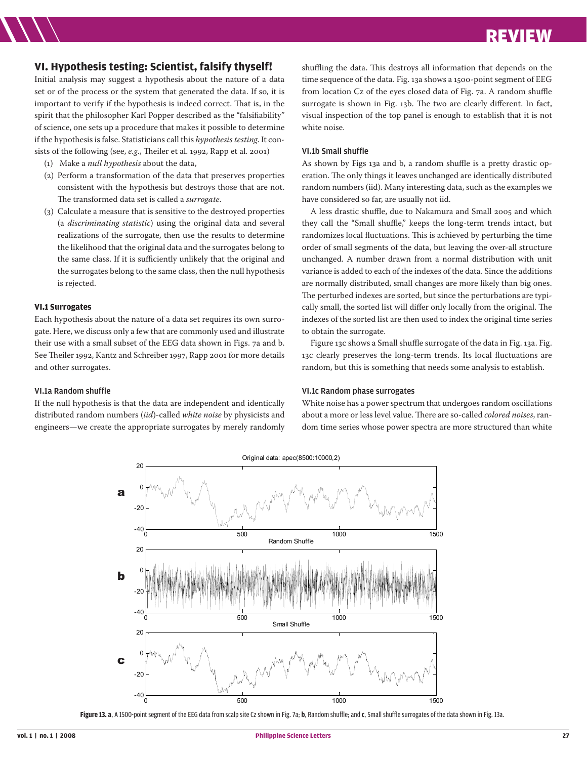# **VI. Hypothesis testing: Scientist, falsify thyself!**

Initial analysis may suggest a hypothesis about the nature of a data set or of the process or the system that generated the data. If so, it is important to verify if the hypothesis is indeed correct. That is, in the spirit that the philosopher Karl Popper described as the "falsifiability" of science, one sets up a procedure that makes it possible to determine if the hypothesis is false. Statisticians call this *hypothesis testing*. It consists of the following (see, *e.g*., Theiler et al. 1992, Rapp et al. 2001)

- (1) Make a *null hypothesis* about the data,
- (2) Perform a transformation of the data that preserves properties consistent with the hypothesis but destroys those that are not. The transformed data set is called a *surrogate*.
- (3) Calculate a measure that is sensitive to the destroyed properties (a *discriminating statistic*) using the original data and several realizations of the surrogate, then use the results to determine the likelihood that the original data and the surrogates belong to the same class. If it is sufficiently unlikely that the original and the surrogates belong to the same class, then the null hypothesis is rejected.

# **VI.1 Surrogates**

Each hypothesis about the nature of a data set requires its own surrogate. Here, we discuss only a few that are commonly used and illustrate their use with a small subset of the EEG data shown in Figs. 7a and b. See Theiler 1992, Kantz and Schreiber 1997, Rapp 2001 for more details and other surrogates.

#### VI.1a Random shuffle

If the null hypothesis is that the data are independent and identically distributed random numbers (*iid*)-called *white noise* by physicists and engineers—we create the appropriate surrogates by merely randomly shuffling the data. This destroys all information that depends on the time sequence of the data. Fig. 13a shows a 1500-point segment of EEG from location Cz of the eyes closed data of Fig. 7a. A random shuffle surrogate is shown in Fig. 13b. The two are clearly different. In fact, visual inspection of the top panel is enough to establish that it is not white noise.

#### VI.1b Small shuffle

As shown by Figs 13a and b, a random shuffle is a pretty drastic operation. The only things it leaves unchanged are identically distributed random numbers (iid). Many interesting data, such as the examples we have considered so far, are usually not iid.

A less drastic shuffle, due to Nakamura and Small 2005 and which they call the "Small shuffle," keeps the long-term trends intact, but randomizes local fluctuations. This is achieved by perturbing the time order of small segments of the data, but leaving the over-all structure unchanged. A number drawn from a normal distribution with unit variance is added to each of the indexes of the data. Since the additions are normally distributed, small changes are more likely than big ones. The perturbed indexes are sorted, but since the perturbations are typically small, the sorted list will differ only locally from the original. The indexes of the sorted list are then used to index the original time series to obtain the surrogate.

Figure 13c shows a Small shuffle surrogate of the data in Fig. 13a. Fig. 13c clearly preserves the long-term trends. Its local fluctuations are random, but this is something that needs some analysis to establish.

#### VI.1c Random phase surrogates

White noise has a power spectrum that undergoes random oscillations about a more or less level value. There are so-called *colored noises*, random time series whose power spectra are more structured than white



**Figure 13. a**, A 1500-point segment of the EEG data from scalp site Cz shown in Fig. 7a; **b**, Random shuffle; and **c**, Small shuffle surrogates of the data shown in Fig. 13a.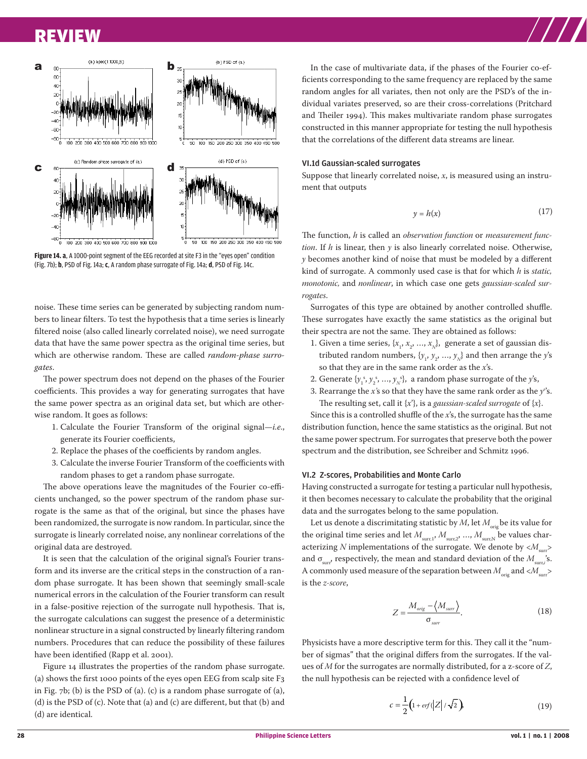

**Figure 14. a**, A 1000-point segment of the EEG recorded at site F3 in the "eyes open" condition (Fig. 7b); **b**, PSD of Fig. 14a; **c**, A random phase surrogate of Fig. 14a; **d**, PSD of Fig. 14c.

noise. These time series can be generated by subjecting random numbers to linear filters. To test the hypothesis that a time series is linearly filtered noise (also called linearly correlated noise), we need surrogate data that have the same power spectra as the original time series, but which are otherwise random. These are called *random-phase surrogates*.

The power spectrum does not depend on the phases of the Fourier coefficients. This provides a way for generating surrogates that have the same power spectra as an original data set, but which are otherwise random. It goes as follows:

- 1. Calculate the Fourier Transform of the original signal—*i.e*., generate its Fourier coefficients,
- 2. Replace the phases of the coefficients by random angles.
- 3. Calculate the inverse Fourier Transform of the coefficients with random phases to get a random phase surrogate.

The above operations leave the magnitudes of the Fourier co-efficients unchanged, so the power spectrum of the random phase surrogate is the same as that of the original, but since the phases have been randomized, the surrogate is now random. In particular, since the surrogate is linearly correlated noise, any nonlinear correlations of the original data are destroyed.

It is seen that the calculation of the original signal's Fourier transform and its inverse are the critical steps in the construction of a random phase surrogate. It has been shown that seemingly small-scale numerical errors in the calculation of the Fourier transform can result in a false-positive rejection of the surrogate null hypothesis. That is, the surrogate calculations can suggest the presence of a deterministic nonlinear structure in a signal constructed by linearly filtering random numbers. Procedures that can reduce the possibility of these failures have been identified (Rapp et al. 2001).

Figure 14 illustrates the properties of the random phase surrogate. (a) shows the first 1000 points of the eyes open EEG from scalp site F3 in Fig. 7b; (b) is the PSD of (a). (c) is a random phase surrogate of (a), (d) is the PSD of (c). Note that (a) and (c) are different, but that (b) and (d) are identical.

In the case of multivariate data, if the phases of the Fourier co-efficients corresponding to the same frequency are replaced by the same random angles for all variates, then not only are the PSD's of the individual variates preserved, so are their cross-correlations (Pritchard and Theiler 1994). This makes multivariate random phase surrogates constructed in this manner appropriate for testing the null hypothesis that the correlations of the different data streams are linear.

#### VI.1d Gaussian-scaled surrogates

Suppose that linearly correlated noise, *x*, is measured using an instrument that outputs

$$
y = h(x) \tag{17}
$$

The function, *h* is called an *observation function* or *measurement function*. If *h* is linear, then *y* is also linearly correlated noise. Otherwise, *y* becomes another kind of noise that must be modeled by a different kind of surrogate. A commonly used case is that for which *h* is *static, monotonic,* and *nonlinear*, in which case one gets *gaussian-scaled surrogates*.

Surrogates of this type are obtained by another controlled shuffle. These surrogates have exactly the same statistics as the original but their spectra are not the same. They are obtained as follows:

- 1. Given a time series,  $\{x_{1}, x_{2}, ..., x_{N}\}$ , generate a set of gaussian distributed random numbers,  $\{y_1, y_2, ..., y_N\}$  and then arrange the  $y$ 's so that they are in the same rank order as the *x*'s.
- 2. Generate  $\{y_1^s, y_2^s, ..., y_N^s\}$ , a random phase surrogate of the *y*'s,
- 3. Rearrange the *x'*s so that they have the same rank order as the *ys* 's. The resulting set, call it  $\{x'\}$ , is a *gaussian-scaled surrogate* of  $\{x\}$ .

Since this is a controlled shuffle of the *x*'s, the surrogate has the same distribution function, hence the same statistics as the original. But not the same power spectrum. For surrogates that preserve both the power spectrum and the distribution, see Schreiber and Schmitz 1996.

#### VI.2 Z-scores, Probabilities and Monte Carlo

Having constructed a surrogate for testing a particular null hypothesis, it then becomes necessary to calculate the probability that the original data and the surrogates belong to the same population.

Let us denote a discrimitating statistic by *M*, let  $M_{\text{orig}}$  be its value for the original time series and let  $M_{\text{surr,1}}, M_{\text{surr,2}}, ..., M_{\text{surr,N}}$  be values characterizing *N* implementations of the surrogate. We denote by  $\langle M_{\text{surr}} \rangle$ and  $\sigma_{\text{surr}}$ , respectively, the mean and standard deviation of the  $M_{\text{surr},i}$ 's. A commonly used measure of the separation between  $M_{\text{orig}}$  and  $\langle M_{\text{surr}}\rangle$ is the *z-score*,

$$
Z = \frac{M_{orig} - \langle M_{sur} \rangle}{\sigma_{sur}}.
$$
 (18)

Physicists have a more descriptive term for this. They call it the "number of sigmas" that the original differs from the surrogates. If the values of *M* for the surrogates are normally distributed, for a z-score of *Z*, the null hypothesis can be rejected with a confidence level of

$$
c = \frac{1}{2} \left( 1 + erf(\left| Z \right| / \sqrt{2} \right) \tag{19}
$$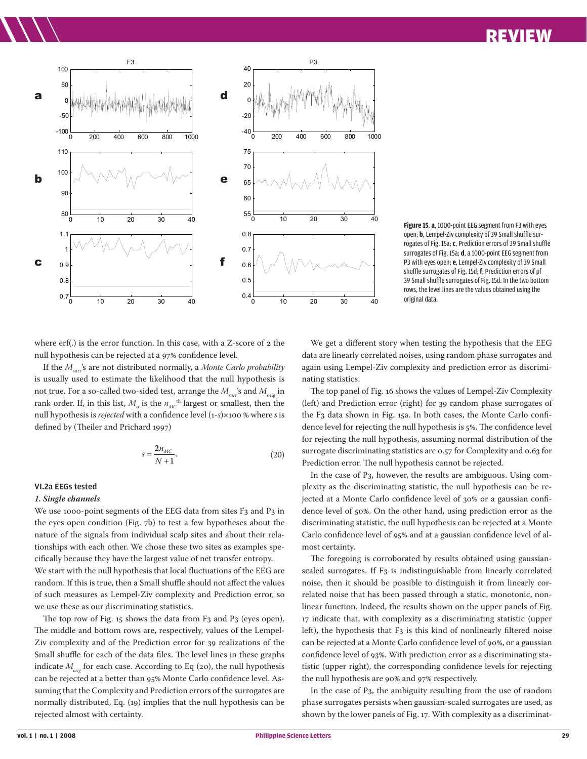

**Figure 15**. **a**, 1000-point EEG segment from F3 with eyes open; **b**, Lempel-Ziv complexity of 39 Small shuffle surrogates of Fig. 15a; **c**, Prediction errors of 39 Small shuffle surrogates of Fig. 15a; **d**, a 1000-point EEG segment from P3 with eyes open; **e**, Lempel-Ziv complexity of 39 Small shuffle surrogates of Fig. 15d; **f**, Prediction errors of pf 39 Small shuffle surrogates of Fig. 15d. In the two bottom rows, the level lines are the values obtained using the original data.

where erf(.) is the error function. In this case, with a Z-score of 2 the null hypothesis can be rejected at a 97% confidence level.

If the *M<sub>sur</sub>'s* are not distributed normally, a *Monte Carlo probability* is usually used to estimate the likelihood that the null hypothesis is not true. For a so-called two-sided test, arrange the  $M_{\text{max}}$ 's and  $M_{\text{min}}$  in rank order. If, in this list,  $M_{_{\rm O}}$  is the  $n_{_{MC}}$ <sup>th</sup> largest or smallest, then the null hypothesis is *rejected* with a confidence level (1-*s*)×100 % where *s* is defined by (Theiler and Prichard 1997)

$$
s = \frac{2n_{MC}}{N+1}.\tag{20}
$$

#### VI.2a EEGs tested

#### *1. Single channels*

We use 1000-point segments of the EEG data from sites F3 and P3 in the eyes open condition (Fig. 7b) to test a few hypotheses about the nature of the signals from individual scalp sites and about their relationships with each other. We chose these two sites as examples specifically because they have the largest value of net transfer entropy. We start with the null hypothesis that local fluctuations of the EEG are random. If this is true, then a Small shuffle should not affect the values of such measures as Lempel-Ziv complexity and Prediction error, so we use these as our discriminating statistics.

The top row of Fig. 15 shows the data from F3 and P3 (eyes open). The middle and bottom rows are, respectively, values of the Lempel-Ziv complexity and of the Prediction error for 39 realizations of the Small shuffle for each of the data files. The level lines in these graphs indicate  $M_{\text{orig}}$  for each case. According to Eq (20), the null hypothesis can be rejected at a better than 95% Monte Carlo confidence level. Assuming that the Complexity and Prediction errors of the surrogates are normally distributed, Eq. (19) implies that the null hypothesis can be rejected almost with certainty.

We get a different story when testing the hypothesis that the EEG data are linearly correlated noises, using random phase surrogates and again using Lempel-Ziv complexity and prediction error as discriminating statistics.

The top panel of Fig. 16 shows the values of Lempel-Ziv Complexity (left) and Prediction error (right) for 39 random phase surrogates of the F3 data shown in Fig. 15a. In both cases, the Monte Carlo confidence level for rejecting the null hypothesis is 5%. The confidence level for rejecting the null hypothesis, assuming normal distribution of the surrogate discriminating statistics are 0.57 for Complexity and 0.63 for Prediction error. The null hypothesis cannot be rejected.

In the case of P3, however, the results are ambiguous. Using complexity as the discriminating statistic, the null hypothesis can be rejected at a Monte Carlo confidence level of 30% or a gaussian confidence level of 50%. On the other hand, using prediction error as the discriminating statistic, the null hypothesis can be rejected at a Monte Carlo confidence level of 95% and at a gaussian confidence level of almost certainty.

The foregoing is corroborated by results obtained using gaussianscaled surrogates. If F3 is indistinguishable from linearly correlated noise, then it should be possible to distinguish it from linearly correlated noise that has been passed through a static, monotonic, nonlinear function. Indeed, the results shown on the upper panels of Fig. 17 indicate that, with complexity as a discriminating statistic (upper left), the hypothesis that F3 is this kind of nonlinearly filtered noise can be rejected at a Monte Carlo confidence level of 90%, or a gaussian confidence level of 93%. With prediction error as a discriminating statistic (upper right), the corresponding confidence levels for rejecting the null hypothesis are 90% and 97% respectively.

In the case of P3, the ambiguity resulting from the use of random phase surrogates persists when gaussian-scaled surrogates are used, as shown by the lower panels of Fig. 17. With complexity as a discriminat-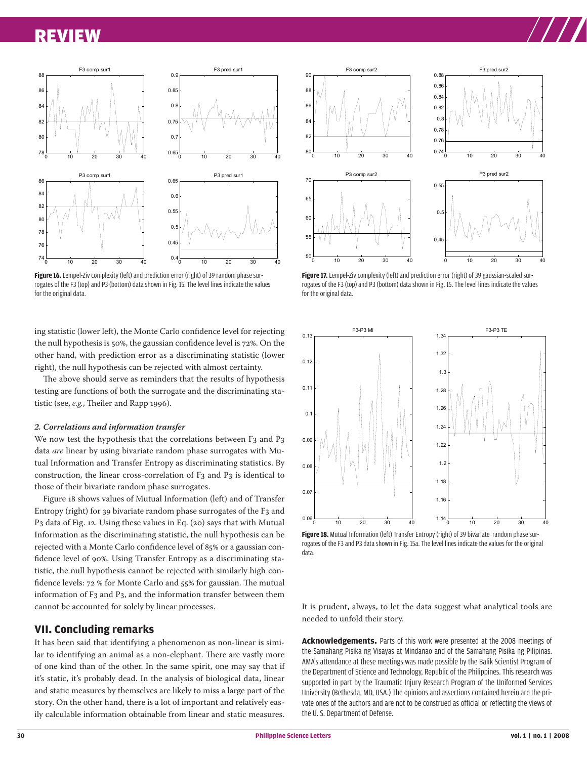

Figure 16. Lempel-Ziv complexity (left) and prediction error (right) of 39 random phase surrogates of the F3 (top) and P3 (bottom) data shown in Fig. 15. The level lines indicate the values for the original data.

ing statistic (lower left), the Monte Carlo confidence level for rejecting the null hypothesis is 50%, the gaussian confidence level is 72%. On the other hand, with prediction error as a discriminating statistic (lower right), the null hypothesis can be rejected with almost certainty.

The above should serve as reminders that the results of hypothesis testing are functions of both the surrogate and the discriminating statistic (see, *e.g.*, Theiler and Rapp 1996).

#### *2. Correlations and information transfer*

We now test the hypothesis that the correlations between F3 and P3 data *are* linear by using bivariate random phase surrogates with Mutual Information and Transfer Entropy as discriminating statistics. By construction, the linear cross-correlation of F3 and P3 is identical to those of their bivariate random phase surrogates.

Figure 18 shows values of Mutual Information (left) and of Transfer Entropy (right) for 39 bivariate random phase surrogates of the F3 and P3 data of Fig. 12. Using these values in Eq. (20) says that with Mutual Information as the discriminating statistic, the null hypothesis can be rejected with a Monte Carlo confidence level of 85% or a gaussian confidence level of 90%. Using Transfer Entropy as a discriminating statistic, the null hypothesis cannot be rejected with similarly high confidence levels: 72 % for Monte Carlo and 55% for gaussian. The mutual information of F3 and P3, and the information transfer between them cannot be accounted for solely by linear processes.

#### **VII. Concluding remarks**

It has been said that identifying a phenomenon as non-linear is similar to identifying an animal as a non-elephant. There are vastly more of one kind than of the other. In the same spirit, one may say that if it's static, it's probably dead. In the analysis of biological data, linear and static measures by themselves are likely to miss a large part of the story. On the other hand, there is a lot of important and relatively easily calculable information obtainable from linear and static measures.



Figure 17. Lempel-Ziv complexity (left) and prediction error (right) of 39 gaussian-scaled surrogates of the F3 (top) and P3 (bottom) data shown in Fig. 15. The level lines indicate the values for the original data.



**Figure 18.** Mutual Information (left) Transfer Entropy (right) of 39 bivariate random phase surrogates of the F3 and P3 data shown in Fig. 15a. The level lines indicate the values for the original data.

It is prudent, always, to let the data suggest what analytical tools are needed to unfold their story.

**Acknowledgements.** Parts of this work were presented at the 2008 meetings of the Samahang Pisika ng Visayas at Mindanao and of the Samahang Pisika ng Pilipinas. AMA's attendance at these meetings was made possible by the Balik Scientist Program of the Department of Science and Technology, Republic of the Philippines. This research was supported in part by the Traumatic Injury Research Program of the Uniformed Services University (Bethesda, MD, USA.) The opinions and assertions contained herein are the private ones of the authors and are not to be construed as official or reflecting the views of the U. S. Department of Defense.